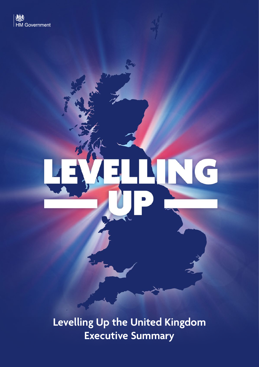

**Levelling Up the United Kingdom Executive Summary**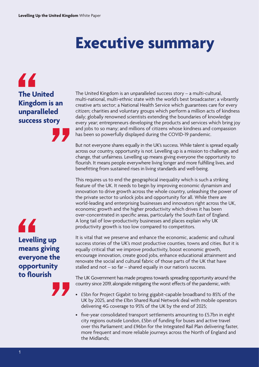# **Executive summary**

44 **The United Kingdom is an unparalleled success story** 

44 **Levelling up means giving everyone the opportunity to fourish** 

The United Kingdom is an unparalleled success story – a multi-cultural, multi-national, multi-ethnic state with the world's best broadcaster; a vibrantly creative arts sector; a National Health Service which guarantees care for every citizen; charities and voluntary groups which perform a million acts of kindness daily; globally renowned scientists extending the boundaries of knowledge every year; entrepreneurs developing the products and services which bring joy and jobs to so many; and millions of citizens whose kindness and compassion has been so powerfully displayed during the COVID-19 pandemic.

But not everyone shares equally in the UK's success. While talent is spread equally across our country, opportunity is not. Levelling up is a mission to challenge, and change, that unfairness. Levelling up means giving everyone the opportunity to fourish. It means people everywhere living longer and more fulflling lives, and beneftting from sustained rises in living standards and well-being.

This requires us to end the geographical inequality which is such a striking feature of the UK. It needs to begin by improving economic dynamism and innovation to drive growth across the whole country, unleashing the power of the private sector to unlock jobs and opportunity for all. While there are world-leading and enterprising businesses and innovators right across the UK, economic growth and the higher productivity which drives it has been over-concentrated in specifc areas, particularly the South East of England. A long tail of low-productivity businesses and places explain why UK productivity growth is too low compared to competitors.

It is vital that we preserve and enhance the economic, academic and cultural success stories of the UK's most productive counties, towns and cities. But it is equally critical that we improve productivity, boost economic growth, encourage innovation, create good jobs, enhance educational attainment and renovate the social and cultural fabric of those parts of the UK that have stalled and not – so far – shared equally in our nation's success.

The UK Government has made progress towards spreading opportunity around the country since 2019, alongside mitigating the worst efects of the pandemic, with:

- £5bn for Project Gigabit to bring gigabit-capable broadband to 85% of the UK by 2025, and the £1bn Shared Rural Network deal with mobile operators delivering 4G coverage to 95% of the UK by the end of 2025;
- fve-year consolidated transport settlements amounting to £5.7bn in eight city regions outside London, £5bn of funding for buses and active travel over this Parliament; and £96bn for the Integrated Rail Plan delivering faster, more frequent and more reliable journeys across the North of England and the Midlands;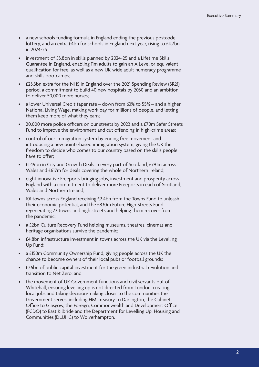- a new schools funding formula in England ending the previous postcode lottery, and an extra £4bn for schools in England next year, rising to £4.7bn in 2024-25
- investment of £3.8bn in skills planned by 2024-25 and a Lifetime Skills Guarantee in England, enabling 11m adults to gain an A Level or equivalent qualifcation for free, as well as a new UK-wide adult numeracy programme and skills bootcamps;
- £23.3bn extra for the NHS in England over the 2021 Spending Review (SR21) period, a commitment to build 40 new hospitals by 2030 and an ambition to deliver 50,000 more nurses;
- a lower Universal Credit taper rate down from 63% to 55% and a higher National Living Wage, making work pay for millions of people, and letting them keep more of what they earn;
- 20,000 more police officers on our streets by 2023 and a £70m Safer Streets Fund to improve the environment and cut offending in high-crime areas;
- control of our immigration system by ending free movement and introducing a new points-based immigration system, giving the UK the freedom to decide who comes to our country based on the skills people have to offer:
- £1.49bn in City and Growth Deals in every part of Scotland, £791m across Wales and £617m for deals covering the whole of Northern Ireland;
- eight innovative Freeports bringing jobs, investment and prosperity across England with a commitment to deliver more Freeports in each of Scotland, Wales and Northern Ireland;
- 101 towns across England receiving £2.4bn from the Towns Fund to unleash their economic potential, and the £830m Future High Streets Fund regenerating 72 towns and high streets and helping them recover from the pandemic;
- a £2bn Culture Recovery Fund helping museums, theatres, cinemas and heritage organisations survive the pandemic;
- £4.8bn infrastructure investment in towns across the UK via the Levelling Up Fund;
- a £150m Community Ownership Fund, giving people across the UK the chance to become owners of their local pubs or football grounds;
- £26bn of public capital investment for the green industrial revolution and transition to Net Zero; and
- the movement of UK Government functions and civil servants out of Whitehall, ensuring levelling up is not directed from London, creating local jobs and taking decision-making closer to the communities the Government serves, including HM Treasury to Darlington, the Cabinet Office to Glasgow, the Foreign, Commonwealth and Development Office (FCDO) to East Kilbride and the Department for Levelling Up, Housing and Communities (DLUHC) to Wolverhampton.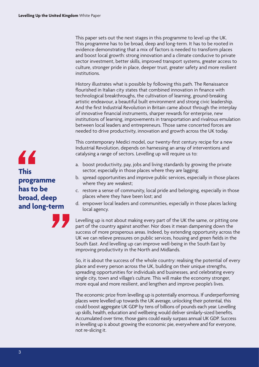This paper sets out the next stages in this programme to level up the UK. This programme has to be broad, deep and long-term. It has to be rooted in evidence demonstrating that a mix of factors is needed to transform places and boost local growth: strong innovation and a climate conducive to private sector investment, better skills, improved transport systems, greater access to culture, stronger pride in place, deeper trust, greater safety and more resilient institutions.

History illustrates what is possible by following this path. The Renaissance fourished in Italian city states that combined innovation in fnance with technological breakthroughs, the cultivation of learning, ground-breaking artistic endeavour, a beautiful built environment and strong civic leadership. And the frst Industrial Revolution in Britain came about through the interplay of innovative fnancial instruments, sharper rewards for enterprise, new institutions of learning, improvements in transportation and rivalrous emulation between local leaders and entrepreneurs. Those same concerted forces are needed to drive productivity, innovation and growth across the UK today.

This contemporary Medici model, our twenty-frst century recipe for a new Industrial Revolution, depends on harnessing an array of interventions and catalysing a range of sectors. Levelling up will require us to:

- a. boost productivity, pay, jobs and living standards by growing the private sector, especially in those places where they are lagging;
- b. spread opportunities and improve public services, especially in those places where they are weakest;
- c. restore a sense of community, local pride and belonging, especially in those places where they have been lost; and
- d. empower local leaders and communities, especially in those places lacking local agency.

Levelling up is not about making every part of the UK the same, or pitting one part of the country against another. Nor does it mean dampening down the success of more prosperous areas. Indeed, by extending opportunity across the UK we can relieve pressures on public services, housing and green felds in the South East. And levelling up can improve well-being in the South East by improving productivity in the North and Midlands.

So, it is about the success of the whole country: realising the potential of every place and every person across the UK, building on their unique strengths, spreading opportunities for individuals and businesses, and celebrating every single city, town and village's culture. This will make the economy stronger, more equal and more resilient, and lengthen and improve people's lives.

The economic prize from levelling up is potentially enormous. If underperforming places were levelled up towards the UK average, unlocking their potential, this could boost aggregate UK GDP by tens of billions of pounds each year. Levelling up skills, health, education and wellbeing would deliver similarly-sized benefts. Accumulated over time, those gains could easily surpass annual UK GDP. Success in levelling up is about growing the economic pie, everywhere and for everyone, not re-slicing it.

# 44 **This programme has to be broad, deep and long‑term**

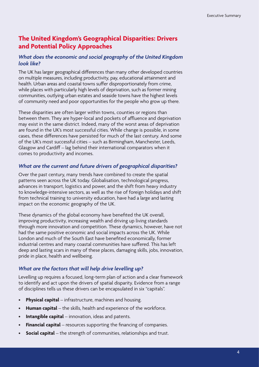# **The United Kingdom's Geographical Disparities: Drivers and Potential Policy Approaches**

#### *What does the economic and social geography of the United Kingdom look like?*

The UK has larger geographical diferences than many other developed countries on multiple measures, including productivity, pay, educational attainment and health. Urban areas and coastal towns suffer disproportionately from crime, while places with particularly high levels of deprivation, such as former mining communities, outlying urban estates and seaside towns have the highest levels of community need and poor opportunities for the people who grow up there.

These disparities are often larger within towns, counties or regions than between them. They are hyper-local and pockets of affluence and deprivation may exist in the same district. Indeed, many of the worst areas of deprivation are found in the UK's most successful cities. While change is possible, in some cases, these diferences have persisted for much of the last century. And some of the UK's most successful cities – such as Birmingham, Manchester, Leeds, Glasgow and Cardif – lag behind their international comparators when it comes to productivity and incomes.

#### *What are the current and future drivers of geographical disparities?*

Over the past century, many trends have combined to create the spatial patterns seen across the UK today. Globalisation, technological progress, advances in transport, logistics and power, and the shift from heavy industry to knowledge-intensive sectors, as well as the rise of foreign holidays and shift from technical training to university education, have had a large and lasting impact on the economic geography of the UK.

These dynamics of the global economy have benefted the UK overall, improving productivity, increasing wealth and driving up living standards through more innovation and competition. These dynamics, however, have not had the same positive economic and social impacts across the UK. While London and much of the South East have benefted economically, former industrial centres and many coastal communities have suffered. This has left deep and lasting scars in many of these places, damaging skills, jobs, innovation, pride in place, health and wellbeing.

### *What are the factors that will help drive levelling up?*

Levelling up requires a focused, long-term plan of action and a clear framework to identify and act upon the drivers of spatial disparity. Evidence from a range of disciplines tells us these drivers can be encapsulated in six "capitals".

- **Physical capital** infrastructure, machines and housing.
- **Human capital** the skills, health and experience of the workforce.
- **Intangible capital** innovation, ideas and patents.
- **Financial capital** resources supporting the fnancing of companies.
- **Social capital** the strength of communities, relationships and trust.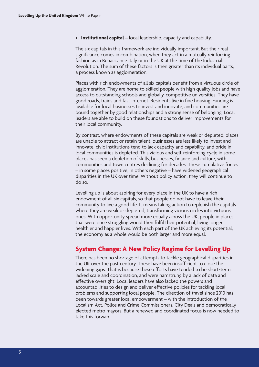• **Institutional capital** – local leadership, capacity and capability.

The six capitals in this framework are individually important. But their real signifcance comes in combination, when they act in a mutually reinforcing fashion as in Renaissance Italy or in the UK at the time of the Industrial Revolution. The sum of these factors is then greater than its individual parts, a process known as agglomeration.

Places with rich endowments of all six capitals beneft from a virtuous circle of agglomeration. They are home to skilled people with high quality jobs and have access to outstanding schools and globally-competitive universities. They have good roads, trains and fast internet. Residents live in fne housing. Funding is available for local businesses to invest and innovate, and communities are bound together by good relationships and a strong sense of belonging. Local leaders are able to build on these foundations to deliver improvements for their local community.

By contrast, where endowments of these capitals are weak or depleted, places are unable to attract or retain talent, businesses are less likely to invest and innovate, civic institutions tend to lack capacity and capability, and pride in local communities is depleted. This vicious and self-reinforcing cycle in some places has seen a depletion of skills, businesses, fnance and culture, with communities and town centres declining for decades. These cumulative forces – in some places positive, in others negative – have widened geographical disparities in the UK over time. Without policy action, they will continue to do so.

Levelling up is about aspiring for every place in the UK to have a rich endowment of all six capitals, so that people do not have to leave their community to live a good life. It means taking action to replenish the capitals where they are weak or depleted, transforming vicious circles into virtuous ones. With opportunity spread more equally across the UK, people in places that were once struggling would then fulfl their potential, living longer, healthier and happier lives. With each part of the UK achieving its potential, the economy as a whole would be both larger and more equal.

# **System Change: A New Policy Regime for Levelling Up**

There has been no shortage of attempts to tackle geographical disparities in the UK over the past century. These have been insufficient to close the widening gaps. That is because these efforts have tended to be short-term, lacked scale and coordination, and were hamstrung by a lack of data and efective oversight. Local leaders have also lacked the powers and accountabilities to design and deliver effective policies for tackling local problems and supporting local people. The direction of travel since 2010 has been towards greater local empowerment – with the introduction of the Localism Act, Police and Crime Commissioners, City Deals and democratically elected metro mayors. But a renewed and coordinated focus is now needed to take this forward.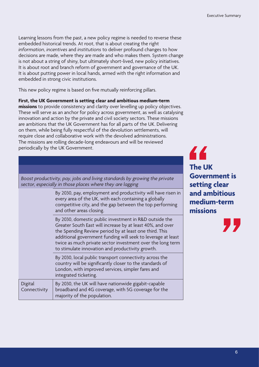Learning lessons from the past, a new policy regime is needed to reverse these embedded historical trends. At root, that is about creating the right *information*, *incentives* and *institutions* to deliver profound changes to how decisions are made, where they are made and who makes them. System change is not about a string of shiny, but ultimately short-lived, new policy initiatives. It is about root and branch reform of government and governance of the UK. It is about putting power in local hands, armed with the right information and embedded in strong civic institutions.

This new policy regime is based on fve mutually reinforcing pillars.

**First, the UK Government is setting clear and ambitious medium‑term missions** to provide consistency and clarity over levelling up policy objectives. These will serve as an anchor for policy across government, as well as catalysing innovation and action by the private and civil society sectors. These missions are ambitions that the UK Government has for all parts of the UK. Delivering on them, while being fully respectful of the devolution settlements, will require close and collaborative work with the devolved administrations. The missions are rolling decade-long endeavours and will be reviewed periodically by the UK Government.

| Boost productivity, pay, jobs and living standards by growing the private<br>sector, especially in those places where they are lagging |                                                                                                                                                                                                                                                                                                                                                                  |
|----------------------------------------------------------------------------------------------------------------------------------------|------------------------------------------------------------------------------------------------------------------------------------------------------------------------------------------------------------------------------------------------------------------------------------------------------------------------------------------------------------------|
|                                                                                                                                        | By 2030, pay, employment and productivity will have risen in<br>every area of the UK, with each containing a globally<br>competitive city, and the gap between the top performing<br>and other areas closing.                                                                                                                                                    |
|                                                                                                                                        | By 2030, domestic public investment in R&D outside the<br>Greater South East will increase by at least 40%, and over<br>the Spending Review period by at least one third. This<br>additional government funding will seek to leverage at least<br>twice as much private sector investment over the long term<br>to stimulate innovation and productivity growth. |
|                                                                                                                                        | By 2030, local public transport connectivity across the<br>country will be significantly closer to the standards of<br>London, with improved services, simpler fares and<br>integrated ticketing.                                                                                                                                                                |
| Digital<br>Connectivity                                                                                                                | By 2030, the UK will have nationwide gigabit-capable<br>broadband and 4G coverage, with 5G coverage for the<br>majority of the population.                                                                                                                                                                                                                       |

44 **The UK Government is setting clear and ambitious medium‑term missions** 

77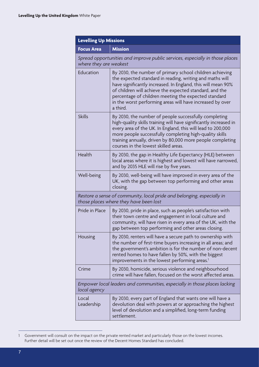| <b>Levelling Up Missions</b>                                                                                     |                                                                                                                                                                                                                                                                                                                                                                                  |
|------------------------------------------------------------------------------------------------------------------|----------------------------------------------------------------------------------------------------------------------------------------------------------------------------------------------------------------------------------------------------------------------------------------------------------------------------------------------------------------------------------|
| <b>Focus Area</b>                                                                                                | <b>Mission</b>                                                                                                                                                                                                                                                                                                                                                                   |
| Spread opportunities and improve public services, especially in those places<br>where they are weakest           |                                                                                                                                                                                                                                                                                                                                                                                  |
| Education                                                                                                        | By 2030, the number of primary school children achieving<br>the expected standard in reading, writing and maths will<br>have significantly increased. In England, this will mean 90%<br>of children will achieve the expected standard, and the<br>percentage of children meeting the expected standard<br>in the worst performing areas will have increased by over<br>a third. |
| <b>Skills</b>                                                                                                    | By 2030, the number of people successfully completing<br>high-quality skills training will have significantly increased in<br>every area of the UK. In England, this will lead to 200,000<br>more people successfully completing high-quality skills<br>training annually, driven by 80,000 more people completing<br>courses in the lowest skilled areas.                       |
| Health                                                                                                           | By 2030, the gap in Healthy Life Expectancy (HLE) between<br>local areas where it is highest and lowest will have narrowed,<br>and by 2035 HLE will rise by five years.                                                                                                                                                                                                          |
| Well-being                                                                                                       | By 2030, well-being will have improved in every area of the<br>UK, with the gap between top performing and other areas<br>closing.                                                                                                                                                                                                                                               |
| Restore a sense of community, local pride and belonging, especially in<br>those places where they have been lost |                                                                                                                                                                                                                                                                                                                                                                                  |
| Pride in Place                                                                                                   | By 2030, pride in place, such as people's satisfaction with<br>their town centre and engagement in local culture and<br>community, will have risen in every area of the UK, with the<br>gap between top performing and other areas closing.                                                                                                                                      |
| Housing                                                                                                          | By 2030, renters will have a secure path to ownership with<br>the number of first-time buyers increasing in all areas; and<br>the government's ambition is for the number of non-decent<br>rented homes to have fallen by 50%, with the biggest<br>improvements in the lowest performing areas. <sup>1</sup>                                                                     |
| Crime                                                                                                            | By 2030, homicide, serious violence and neighbourhood<br>crime will have fallen, focused on the worst affected areas.                                                                                                                                                                                                                                                            |
| Empower local leaders and communities, especially in those places lacking<br>local agency                        |                                                                                                                                                                                                                                                                                                                                                                                  |
| Local<br>Leadership                                                                                              | By 2030, every part of England that wants one will have a<br>devolution deal with powers at or approaching the highest<br>level of devolution and a simplified, long-term funding<br>settlement.                                                                                                                                                                                 |

<sup>1</sup> Government will consult on the impact on the private rented market and particularly those on the lowest incomes. Further detail will be set out once the review of the Decent Homes Standard has concluded.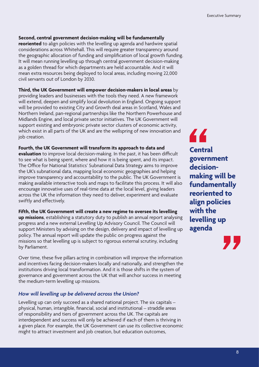#### **Second, central government decision‑making will be fundamentally**

**reoriented** to align policies with the levelling up agenda and hardwire spatial considerations across Whitehall. This will require greater transparency around the geographic allocation of funding and simplifcation of local growth funding. It will mean running levelling up through central government decision-making as a golden thread for which departments are held accountable. And it will mean extra resources being deployed to local areas, including moving 22,000 civil servants out of London by 2030.

**Third, the UK Government will empower decision‑makers in local areas** by providing leaders and businesses with the tools they need. A new framework will extend, deepen and simplify local devolution in England. Ongoing support will be provided to existing City and Growth deal areas in Scotland, Wales and Northern Ireland, pan-regional partnerships like the Northern Powerhouse and Midlands Engine, and local private sector initiatives. The UK Government will support existing and embryonic private sector clusters of economic activity, which exist in all parts of the UK and are the wellspring of new innovation and job creation.

**Fourth, the UK Government will transform its approach to data and evaluation** to improve local decision-making. In the past, it has been difficult to see what is being spent, where and how it is being spent, and its impact. The Office for National Statistics' Subnational Data Strategy aims to improve the UK's subnational data, mapping local economic geographies and helping improve transparency and accountability to the public. The UK Government is making available interactive tools and maps to facilitate this process. It will also encourage innovative uses of real-time data at the local level, giving leaders across the UK the information they need to deliver, experiment and evaluate swiftly and efectively.

**Fifth, the UK Government will create a new regime to oversee its levelling** 

**up missions**, establishing a statutory duty to publish an annual report analysing progress and a new external Levelling Up Advisory Council. The Council will support Ministers by advising on the design, delivery and impact of levelling up policy. The annual report will update the public on progress against the missions so that levelling up is subject to rigorous external scrutiny, including by Parliament.

Over time, these fve pillars acting in combination will improve the information and incentives facing decision-makers locally and nationally, and strengthen the institutions driving local transformation. And it is those shifts in the system of governance and government across the UK that will anchor success in meeting the medium-term levelling up missions.

#### *How will levelling up be delivered across the Union?*

Levelling up can only succeed as a shared national project. The six capitals – physical, human, intangible, fnancial, social and institutional – straddle areas of responsibility and tiers of government across the UK. The capitals are interdependent and success will only be achieved if each of them is thriving in a given place. For example, the UK Government can use its collective economic might to attract investment and job creation, but education outcomes,

44 **Central government decision‑ making will be fundamentally reoriented to align policies with the levelling up agenda** 

77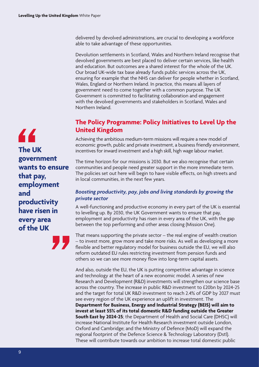delivered by devolved administrations, are crucial to developing a workforce able to take advantage of these opportunities.

Devolution settlements in Scotland, Wales and Northern Ireland recognise that devolved governments are best placed to deliver certain services, like health and education. But outcomes are a shared interest for the whole of the UK. Our broad UK-wide tax base already funds public services across the UK, ensuring for example that the NHS can deliver for people whether in Scotland, Wales, England or Northern Ireland. In practice, this means all layers of government need to come together with a common purpose. The UK Government is committed to facilitating collaboration and engagement with the devolved governments and stakeholders in Scotland, Wales and Northern Ireland.

# **The Policy Programme: Policy Initiatives to Level Up the United Kingdom**

Achieving the ambitious medium-term missions will require a new model of economic growth, public and private investment, a business friendly environment, incentives for inward investment and a high skill, high wage labour market.

The time horizon for our missions is 2030. But we also recognise that certain communities and people need greater support in the more immediate term. The policies set out here will begin to have visible effects, on high streets and in local communities, in the next few years.

#### *Boosting productivity, pay, jobs and living standards by growing the private sector*

A well-functioning and productive economy in every part of the UK is essential to levelling up. By 2030, the UK Government wants to ensure that pay, employment and productivity has risen in every area of the UK, with the gap between the top performing and other areas closing (Mission One).

That means supporting the private sector – the real engine of wealth creation – to invest more, grow more and take more risks. As well as developing a more fexible and better regulatory model for business outside the EU, we will also reform outdated EU rules restricting investment from pension funds and others so we can see more money flow into long-term capital assets.

And also, outside the EU, the UK is putting competitive advantage in science and technology at the heart of a new economic model. A series of new Research and Development (R&D) investments will strengthen our science base across the country. The increase in public R&D investment to £20bn by 2024-25 and the target for total UK R&D investment to reach 2.4% of GDP by 2027 must see every region of the UK experience an uplift in investment. The **Department for Business, Energy and Industrial Strategy (BEIS) will aim to invest at least 55% of its total domestic R&D funding outside the Greater South East by 2024‑25**; the Department of Health and Social Care (DHSC) will increase National Institute for Health Research investment outside London, Oxford and Cambridge; and the Ministry of Defence (MoD) will expand the regional footprint of the Defence Science & Technology Laboratory (Dstl). These will contribute towards our ambition to increase total domestic public

44 **The UK government wants to ensure that pay, employment and productivity have risen in every area of the UK**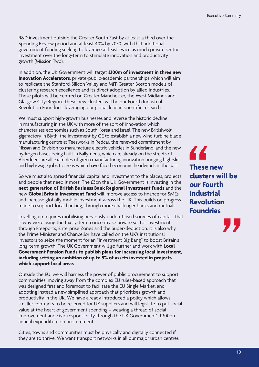R&D investment outside the Greater South East by at least a third over the Spending Review period and at least 40% by 2030, with that additional government funding seeking to leverage at least twice as much private sector investment over the long-term to stimulate innovation and productivity growth (Mission Two).

In addition, the UK Government will target **£100m of investment in three new Innovation Accelerators**, private-public-academic partnerships which will aim to replicate the Stanford-Silicon Valley and MIT-Greater Boston models of clustering research excellence and its direct adoption by allied industries. These pilots will be centred on Greater Manchester, the West Midlands and Glasgow City-Region. These new clusters will be our Fourth Industrial Revolution Foundries, leveraging our global lead in scientifc research.

We must support high-growth businesses and reverse the historic decline in manufacturing in the UK with more of the sort of innovation which characterises economies such as South Korea and Israel. The new Britishvolt gigafactory in Blyth, the investment by GE to establish a new wind turbine blade manufacturing centre at Teesworks in Redcar, the renewed commitment by Nissan and Envision to manufacture electric vehicles in Sunderland, and the new hydrogen buses being built in Ballymena, which are already on the streets of Aberdeen, are all examples of green manufacturing innovation bringing high-skill and high-wage jobs to areas which have faced economic headwinds in the past.

So we must also spread fnancial capital and investment to the places, projects and people that need it most. The £3bn the UK Government is investing in the **next generation of British Business Bank Regional Investment Funds** and the new **Global Britain Investment Fund** will improve access to fnance for SMEs and increase globally mobile investment across the UK. This builds on progress made to support local banking, through more challenger banks and mutuals.

Levelling up requires mobilising previously underutilised sources of capital. That is why we're using the tax system to incentivise private sector investment, through Freeports, Enterprise Zones and the Super-deduction. It is also why the Prime Minister and Chancellor have called on the UK's institutional investors to seize the moment for an "Investment Big Bang" to boost Britain's long-term growth. The UK Government will go further and work with **Local Government Pension Funds to publish plans for increasing local investment, including setting an ambition of up to 5% of assets invested in projects which support local areas**.

Outside the EU, we will harness the power of public procurement to support communities, moving away from the complex EU rules-based approach that was designed frst and foremost to facilitate the EU Single Market, and adopting instead a new simplifed approach that prioritises growth and productivity in the UK. We have already introduced a policy which allows smaller contracts to be reserved for UK suppliers and will legislate to put social value at the heart of government spending – weaving a thread of social improvement and civic responsibility through the UK Government's £300bn annual expenditure on procurement.

Cities, towns and communities must be physically and digitally connected if they are to thrive. We want transport networks in all our major urban centres 44 **These new clusters will be our Fourth Industrial Revolution Foundries** 

И.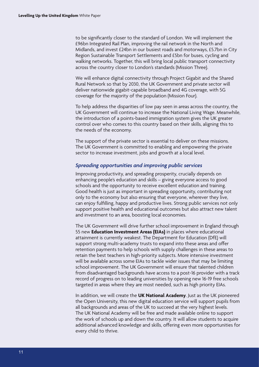to be signifcantly closer to the standard of London. We will implement the £96bn Integrated Rail Plan, improving the rail network in the North and Midlands, and invest £24bn in our busiest roads and motorways, £5.7bn in City Region Sustainable Transport Settlements and £5bn for buses, cycling and walking networks. Together, this will bring local public transport connectivity across the country closer to London's standards (Mission Three).

We will enhance digital connectivity through Project Gigabit and the Shared Rural Network so that by 2030, the UK Government and private sector will deliver nationwide gigabit-capable broadband and 4G coverage, with 5G coverage for the majority of the population (Mission Four).

To help address the disparities of low pay seen in areas across the country, the UK Government will continue to increase the National Living Wage. Meanwhile, the introduction of a points-based immigration system gives the UK greater control over who comes to this country based on their skills, aligning this to the needs of the economy.

The support of the private sector is essential to deliver on these missions. The UK Government is committed to enabling and empowering the private sector to increase investment, jobs and growth at a local level.

#### *Spreading opportunities and improving public services*

Improving productivity, and spreading prosperity, crucially depends on enhancing people's education and skills – giving everyone access to good schools and the opportunity to receive excellent education and training. Good health is just as important in spreading opportunity, contributing not only to the economy but also ensuring that everyone, wherever they live, can enjoy fulflling, happy and productive lives. Strong public services not only support positive health and educational outcomes but also attract new talent and investment to an area, boosting local economies.

The UK Government will drive further school improvement in England through 55 new **Education Investment Areas (EIAs)** in places where educational attainment is currently weakest. The Department for Education (DfE) will support strong multi-academy trusts to expand into these areas and offer retention payments to help schools with supply challenges in these areas to retain the best teachers in high-priority subjects. More intensive investment will be available across some EIAs to tackle wider issues that may be limiting school improvement. The UK Government will ensure that talented children from disadvantaged backgrounds have access to a post-16 provider with a track record of progress on to leading universities by opening new 16-19 free schools targeted in areas where they are most needed, such as high priority EIAs.

In addition, we will create the **UK National Academy**. Just as the UK pioneered the Open University, this new digital education service will support pupils from all backgrounds and areas of the UK to succeed at the very highest levels. The UK National Academy will be free and made available online to support the work of schools up and down the country. It will allow students to acquire additional advanced knowledge and skills, offering even more opportunities for every child to thrive.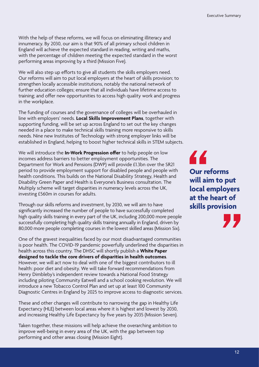With the help of these reforms, we will focus on eliminating illiteracy and innumeracy. By 2030, our aim is that 90% of all primary school children in England will achieve the expected standard in reading, writing and maths, with the percentage of children meeting the expected standard in the worst performing areas improving by a third (Mission Five).

We will also step up efforts to give all students the skills employers need. Our reforms will aim to put local employers at the heart of skills provision; to strengthen locally accessible institutions, notably the national network of further education colleges; ensure that all individuals have lifetime access to training; and offer new opportunities to access high quality work and progress in the workplace.

The funding of courses and the governance of colleges will be overhauled in line with employers' needs. **Local Skills Improvement Plans**, together with supporting funding, will be set up across England to set out the key changes needed in a place to make technical skills training more responsive to skills needs. Nine new Institutes of Technology with strong employer links will be established in England, helping to boost higher technical skills in STEM subjects.

We will introduce the **In-Work Progression offer** to help people on low incomes address barriers to better employment opportunities. The Department for Work and Pensions (DWP) will provide £1.3bn over the SR21 period to provide employment support for disabled people and people with health conditions. This builds on the National Disability Strategy, Health and Disability Green Paper and Health is Everyone's Business consultation. The Multiply scheme will target disparities in numeracy levels across the UK, investing £560m in courses for adults.

Through our skills reforms and investment, by 2030, we will aim to have signifcantly increased the number of people to have successfully completed high quality skills training in every part of the UK, including 200,000 more people successfully completing high quality skills training annually in England, driven by 80,000 more people completing courses in the lowest skilled areas (Mission Six).

One of the gravest inequalities faced by our most disadvantaged communities is poor health. The COVID-19 pandemic powerfully underlined the disparities in health across this country. The DHSC will shortly publish a **White Paper designed to tackle the core drivers of disparities in health outcomes**. However, we will act now to deal with one of the biggest contributors to ill health: poor diet and obesity. We will take forward recommendations from Henry Dimbleby's independent review towards a National Food Strategy including piloting Community Eatwell and a school cooking revolution. We will introduce a new Tobacco Control Plan and set up at least 100 Community Diagnostic Centres in England by 2025 to improve access to diagnostic services.

These and other changes will contribute to narrowing the gap in Healthy Life Expectancy (HLE) between local areas where it is highest and lowest by 2030, and increasing Healthy Life Expectancy by fve years by 2035 (Mission Seven).

Taken together, these missions will help achieve the overarching ambition to improve well-being in every area of the UK, with the gap between top performing and other areas closing (Mission Eight).

44 **Our reforms will aim to put local employers at the heart of skills provision**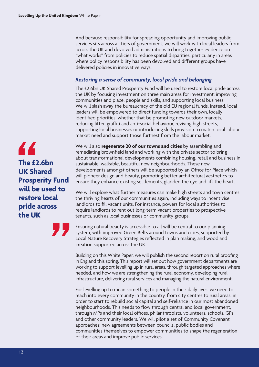And because responsibility for spreading opportunity and improving public services sits across all tiers of government, we will work with local leaders from across the UK and devolved administrations to bring together evidence on "what works" from policies to reduce spatial disparities, particularly in areas where policy responsibility has been devolved and diferent groups have delivered policies in innovative ways.

#### *Restoring a sense of community, local pride and belonging*

The £2.6bn UK Shared Prosperity Fund will be used to restore local pride across the UK by focusing investment on three main areas for investment: improving communities and place, people and skills, and supporting local business. We will slash away the bureaucracy of the old EU regional funds. Instead, local leaders will be empowered to direct funding towards their own, locally identifed priorities, whether that be promoting new outdoor markets, reducing litter, graffiti and anti-social behaviour, reviving high streets, supporting local businesses or introducing skills provision to match local labour market need and support those furthest from the labour market.

We will also **regenerate 20 of our towns and cities** by assembling and remediating brownfeld land and working with the private sector to bring about transformational developments combining housing, retail and business in sustainable, walkable, beautiful new neighbourhoods. These new developments amongst others will be supported by an Office for Place which will pioneer design and beauty, promoting better architectural aesthetics to ensure they enhance existing settlements, gladden the eye and lift the heart.

We will explore what further measures can make high streets and town centres the thriving hearts of our communities again, including ways to incentivise landlords to fll vacant units. For instance, powers for local authorities to require landlords to rent out long-term vacant properties to prospective tenants, such as local businesses or community groups.

Ensuring natural beauty is accessible to all will be central to our planning system, with improved Green Belts around towns and cities, supported by Local Nature Recovery Strategies refected in plan making, and woodland creation supported across the UK.

Building on this White Paper, we will publish the second report on rural proofng in England this spring. This report will set out how government departments are working to support levelling up in rural areas, through targeted approaches where needed, and how we are strengthening the rural economy, developing rural infrastructure, delivering rural services and managing the natural environment.

For levelling up to mean something to people in their daily lives, we need to reach into every community in the country, from city centres to rural areas, in order to start to rebuild social capital and self-reliance in our most abandoned neighbourhoods. This needs to flow through central and local government, through MPs and their local offices, philanthropists, volunteers, schools, GPs and other community leaders. We will pilot a set of Community Covenant approaches: new agreements between councils, public bodies and communities themselves to empower communities to shape the regeneration of their areas and improve public services.

44 **The £2.6bn UK Shared Prosperity Fund will be used to restore local pride across the UK** 

13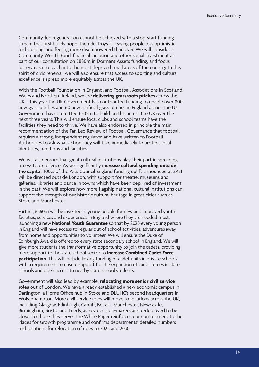Community-led regeneration cannot be achieved with a stop-start funding stream that frst builds hope, then destroys it, leaving people less optimistic and trusting, and feeling more disempowered than ever. We will consider a Community Wealth Fund, fnancial inclusion and other social investment as part of our consultation on £880m in Dormant Assets funding, and focus lottery cash to reach into the most deprived small areas of the country. In this spirit of civic renewal, we will also ensure that access to sporting and cultural excellence is spread more equitably across the UK.

With the Football Foundation in England, and Football Associations in Scotland, Wales and Northern Ireland, we are **delivering grassroots pitches** across the UK – this year the UK Government has contributed funding to enable over 800 new grass pitches and 60 new artifcial grass pitches in England alone. The UK Government has committed £205m to build on this across the UK over the next three years. This will ensure local clubs and school teams have the facilities they need to thrive. We have also endorsed in principle the main recommendation of the Fan Led Review of Football Governance that football requires a strong, independent regulator, and have written to Football Authorities to ask what action they will take immediately to protect local identities, traditions and facilities.

We will also ensure that great cultural institutions play their part in spreading access to excellence. As we signifcantly **increase cultural spending outside the capital**, 100% of the Arts Council England funding uplift announced at SR21 will be directed outside London, with support for theatre, museums and galleries, libraries and dance in towns which have been deprived of investment in the past. We will explore how more fagship national cultural institutions can support the strength of our historic cultural heritage in great cities such as Stoke and Manchester.

Further, £560m will be invested in young people for new and improved youth facilities, services and experiences in England where they are needed most, launching a new **National Youth Guarantee** so that by 2025 every young person in England will have access to regular out of school activities, adventures away from home and opportunities to volunteer. We will ensure the Duke of Edinburgh Award is offered to every state secondary school in England. We will give more students the transformative opportunity to join the cadets, providing more support to the state school sector to **increase Combined Cadet Force participation**. This will include linking funding of cadet units in private schools with a requirement to ensure support for the expansion of cadet forces in state schools and open access to nearby state school students.

Government will also lead by example, **relocating more senior civil service roles** out of London. We have already established a new economic campus in Darlington, a Home Office hub in Stoke and DLUHC's second headquarters in Wolverhampton. More civil service roles will move to locations across the UK, including Glasgow, Edinburgh, Cardif, Belfast, Manchester, Newcastle, Birmingham, Bristol and Leeds, as key decision-makers are re-deployed to be closer to those they serve. The White Paper reinforces our commitment to the Places for Growth programme and confrms departments' detailed numbers and locations for relocation of roles to 2025 and 2030.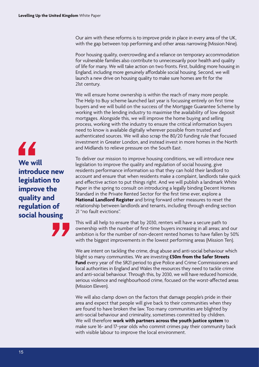Our aim with these reforms is to improve pride in place in every area of the UK, with the gap between top performing and other areas narrowing (Mission Nine).

Poor housing quality, overcrowding and a reliance on temporary accommodation for vulnerable families also contribute to unnecessarily poor health and quality of life for many. We will take action on two fronts. First, building more housing in England, including more genuinely affordable social housing. Second, we will launch a new drive on housing quality to make sure homes are ft for the 21st century.

We will ensure home ownership is within the reach of many more people. The Help to Buy scheme launched last year is focussing entirely on frst time buyers and we will build on the success of the Mortgage Guarantee Scheme by working with the lending industry to maximise the availability of low deposit mortgages. Alongside this, we will improve the home buying and selling process, working with the industry to ensure the critical information buyers need to know is available digitally wherever possible from trusted and authenticated sources. We will also scrap the 80/20 funding rule that focused investment in Greater London, and instead invest in more homes in the North and Midlands to relieve pressure on the South East.

To deliver our mission to improve housing conditions, we will introduce new legislation to improve the quality and regulation of social housing, give residents performance information so that they can hold their landlord to account and ensure that when residents make a complaint, landlords take quick and efective action to put things right. And we will publish a landmark White Paper in the spring to consult on introducing a legally binding Decent Homes Standard in the Private Rented Sector for the frst time ever, explore a **National Landlord Register** and bring forward other measures to reset the relationship between landlords and tenants, including through ending section 21 "no fault evictions".

This will all help to ensure that by 2030, renters will have a secure path to ownership with the number of frst-time buyers increasing in all areas; and our ambition is for the number of non-decent rented homes to have fallen by 50% with the biggest improvements in the lowest performing areas (Mission Ten).

We are intent on tackling the crime, drug abuse and anti-social behaviour which blight so many communities. We are investing **£50m from the Safer Streets Fund** every year of the SR21 period to give Police and Crime Commissioners and local authorities in England and Wales the resources they need to tackle crime and anti-social behaviour. Through this, by 2030, we will have reduced homicide, serious violence and neighbourhood crime, focused on the worst-afected areas (Mission Eleven).

We will also clamp down on the factors that damage people's pride in their area and expect that people will give back to their communities when they are found to have broken the law. Too many communities are blighted by anti-social behaviour and criminality, sometimes committed by children. We will therefore **work with partners across the youth justice system** to make sure 16- and 17-year olds who commit crimes pay their community back with visible labour to improve the local environment.

44 **We will introduce new legislation to improve the quality and regulation of social housing**